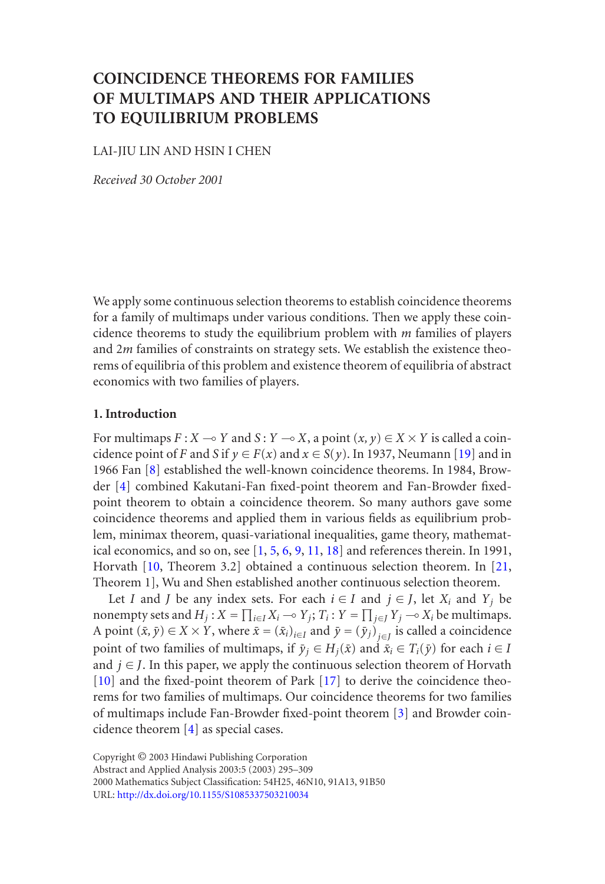# **COINCIDENCE THEOREMS FOR FAMILIES OF MULTIMAPS AND THEIR APPLICATIONS TO EQUILIBRIUM PROBLEMS**

LAI-JIU LIN AND HSIN I CHEN

*Received 30 October 2001*

We apply some continuous selection theorems to establish coincidence theorems for a family of multimaps under various conditions. Then we apply [thes](#page-14-0)e coincidence th[eo](#page-13-0)rems to study the equilibrium problem with *m* families of players and [2](#page-13-1)*m* families of constraints on strategy sets. We establish the existence theorems of equilibria of this problem and existence theorem of equilibria of abstract economics with two families of players.

### **1. Introduction**

For multi[map](#page-14-1)s  $F: X \to Y$  and  $S: Y \to X$ , a point  $(x, y) \in X \times Y$  is called a c[oin](#page-14-2)cidence point of *F* and *S* if  $y \in F(x)$  and  $x \in S(y)$ . In 1937, Neumann [19] and in 1966 Fan [8] established the well-known coincidence theorems. In 1984, Browder [4] combined Kakutani-Fan fixed-point theorem and Fan-Browder fixedpoint theorem to obtain a coincidence theorem. So many authors gave some coincidence theorems and applied them in various fields as equilibrium probl[em](#page-14-1), minimax theorem, quasi-variational i[nequ](#page-14-3)alities, game theory, mathematical economics, and so on, see  $\left[1, 5, 6, 9, 11, 18\right]$  and references therein. In 1991, Horvath [10, Theorem 3.2] obtained a continuous selec[tio](#page-13-2)n theorem. In [21, Theorem 1], Wu [an](#page-13-1)d Shen established another continuous selection theorem.

Let *I* and *J* be any index sets. For each  $i \in I$  and  $j \in J$ , let  $X_i$  and  $Y_j$  be nonempty sets and  $H_j: X = \prod_{i \in I} X_i \to Y_j$ ;  $T_i: Y = \prod_{j \in J} Y_j \to X_i$  be multimaps. A point  $(\bar{x}, \bar{y}) \in X \times Y$ , where  $\bar{x} = (\bar{x}_i)_{i \in I}$  and  $\bar{y} = (\bar{y}_j)_{i \in I}$  is called a coincidence poi[nt of two families of multimaps, if](http://dx.doi.org/10.1155/S1085337503210034)  $\bar{y}_i \in H_j(\bar{x})$  and  $\bar{x}_i \in T_i(\bar{y})$  for each  $i \in I$ and  $j \in J$ . In this paper, we apply the continuous selection theorem of Horvath [10] and the fixed-point theorem of Park [17] to derive the coincidence theorems for two families of multimaps. Our coincidence theorems for two families of multimaps include Fan-Browder fixed-point theorem [3] and Browder coincidence theorem [4] as special cases.

URL: http://dx.doi.org/10.1155/S1085337503210034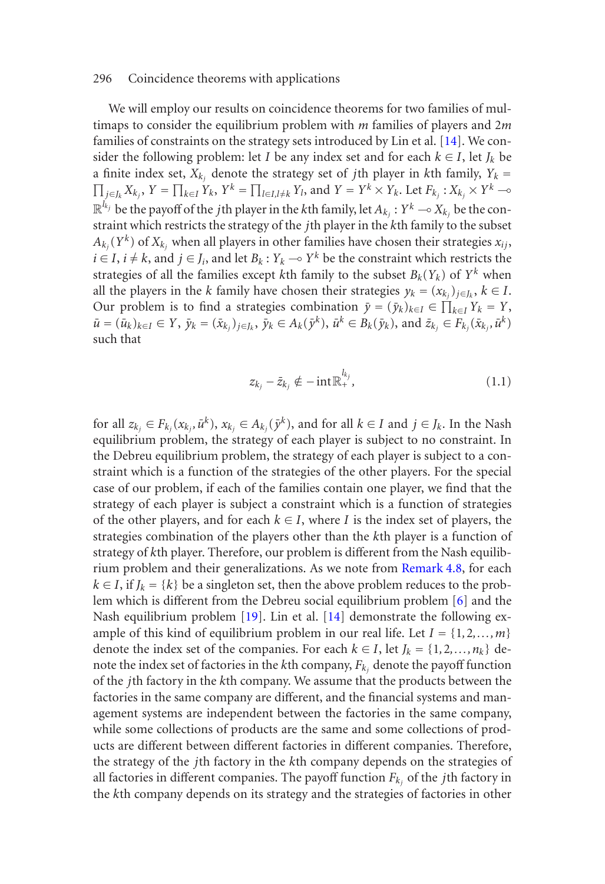We will employ our results on coincidence theorems for two families of multimaps to consider the equilibrium problem with *m* families of players and 2*m* families of constraints on the strategy sets introduced by Lin et al. [14]. We consider the following problem: let *I* be any index set and for each  $k \in I$ , let  $J_k$  be a finite index set,  $X_{k_i}$  denote the strategy set of *j*th player in *k*th family,  $Y_k =$ a finite index set,  $X_{k_j}$  denote the strategy set of *j*th player in *k*th family,  $Y_k = \prod_{i \in L} X_k$ ,  $Y = \prod_{k \in I} Y_k$ ,  $Y^k = \prod_{l \in L} I_{\neq k} Y_l$ , and  $Y = Y^k \times Y_k$ . Let  $F_{k_i} : X_{k_i} \times Y^k \to Y_k$  $j \in J_k X_{k,j}, Y = \prod_{k \in I} Y_k, Y^k = \prod_{l \in I, l \neq k} Y_l$ , and  $Y = Y^k \times Y_k$ . Let  $F_{k,j}: X_{k,j} \times Y^k \to Y_k$  $\mathbb{R}^{k_j}$  be the payoff of the *j*th player in the *k*th family, let  $A_k$ :  $Y^k \rightarrow X_k$ , be the constraint which restricts the strategy of the *j*th player in the *k*th family to the subset  $A_{k_i}(Y^k)$  of  $X_{k_i}$  when all players in other families have chosen their strategies  $x_{ij}$ , *i* ∈ *I*, *i* ≠ *k*, and *j* ∈ *J<sub>i</sub>*, and let *B<sub>k</sub>* : *Y<sub>k</sub>* → *Y<sup>k</sup>* be the constraint which restricts the strategies of all the families except *k*th family to the subset *B<sub>t</sub>*(*V<sub>t</sub>*) of *Y<sup>k</sup>* when strategies of all the families except *k*th family to the subset  $B_k(Y_k)$  of  $Y^k$  when all the players in the *k* family have chosen their strategies  $y_k = (x_{k_i})_{i \in J_k}$ ,  $k \in I$ . Our problem is to find a strategies combination  $\bar{y} = (\bar{y}_k)_{k \in I} \in \prod_{k \in I} Y_k = Y$ ,<br>  $\bar{y}_i = (\bar{y}_i)_{i \in I} \in Y$ ,  $\bar{y}_i = (\bar{y}_i)_{i \in I} \in \mathcal{Y}_i$ ,  $\bar{y}_i \in A_i(\bar{y}_i)$ ,  $\bar{y}_i \in B_i(\bar{y}_i)$ , and  $\bar{z}_i \in E_i(\bar{y}_i, \bar{y}_i)$  $\bar{u} = (\bar{u}_k)_{k \in I} \in Y$ ,  $\bar{y}_k = (\bar{x}_{k_i})_{i \in I_k}$ ,  $\bar{y}_k \in A_k(\bar{y}^k)$ ,  $\bar{u}^k \in B_k(\bar{y}_k)$ , and  $\bar{z}_{k_i} \in F_{k_i}(\bar{x}_{k_i}, \bar{u}^k)$ such that

$$
z_{k_j} - \bar{z}_{k_j} \notin -\mathrm{int} \mathbb{R}_+^{u_{k_j}},\tag{1.1}
$$

for all  $z_{k_j} \in F_{k_j}(x_{k_j}, \bar{u}^k)$ ,  $x_{k_j} \in A_{k_j}(\bar{y}^k)$ , and for all  $k \in I$  and  $j \in J_k$ [. In](#page-11-0) the Nash equilibrium problem, the strategy of each player is subject to no constraint. In the Debreu equilibrium problem, the strategy of each player is subje[ct t](#page-13-3)o a constraint which is a function o[f th](#page-14-0)e strategies [of t](#page-14-4)he other players. For the special case of our problem, if each of the families contain one player, we find that the strategy of each player is subject a constraint which is a function of strategies of the other players, and for each  $k \in I$ , where *I* is the index set of players, the strategies combination of the players other than the *k*th player is a function of strategy of *k*th player. Therefore, our problem is different from the Nash equilibrium problem and their generalizations. As we note from Remark 4.8, for each  $k \in I$ , if  $J_k = \{k\}$  be a singleton set, then the above problem reduces to the problem which is different from the Debreu social equilibrium problem [6] and the Nash equilibrium problem [19]. Lin et al. [14] demonstrate the following example of this kind of equilibrium problem in our real life. Let  $I = \{1, 2, \ldots, m\}$ denote the index set of the companies. For each  $k \in I$ , let  $J_k = \{1, 2, ..., n_k\}$  denote the index set of factories in the *k*th company,  $F_{k_i}$  denote the payoff function of the *j*th factory in the *k*th company. We assume that the products between the factories in the same company are different, and the financial systems and management systems are independent between the factories in the same company, while some collections of products are the same and some collections of products are different between different factories in different companies. Therefore, the strategy of the *j*th factory in the *k*th company depends on the strategies of all factories in different companies. The payoff function  $F_{k_i}$  of the *j*th factory in the *k*th company depends on its strategy and the strategies of factories in other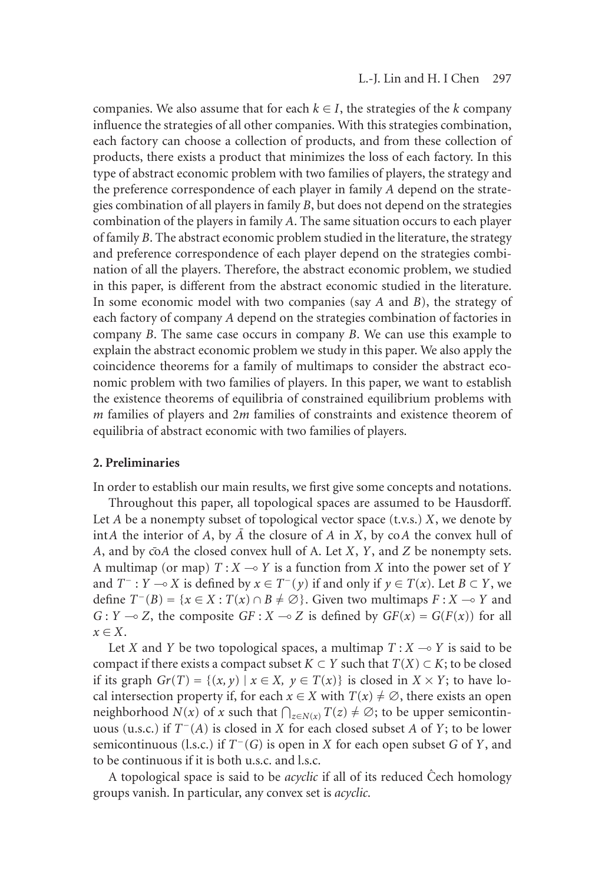companies. We also assume that for each  $k \in I$ , the strategies of the *k* company influence the strategies of all other companies. With this strategies combination, each factory can choose a collection of products, and from these collection of products, there exists a product that minimizes the loss of each factory. In this type of abstract economic problem with two families of players, the strategy and the preference correspondence of each player in family *A* depend on the strategies combination of all players in family *B*, but does not depend on the strategies combination of the players in family *A*. The same situation occurs to each player of family *B*. The abstract economic problem studied in the literature, the strategy and preference correspondence of each player depend on the strategies combination of all the players. Therefore, the abstract economic problem, we studied in this paper, is different from the abstract economic studied in the literature. In some economic model with two companies (say *A* and *B*), the strategy of each factory of company *A* depend on the strategies combination of factories in company *B*. The same case occurs in company *B*. We can use this example to explain the abstract economic problem we study in this paper. We also apply the coincidence theorems for a family of multimaps to consider the abstract economic problem with two families of players. In this paper, we want to establish the existence theorems of equilibria of constrained equilibrium problems with *m* families of players and 2*m* families of constraints and existence theorem of equilibria of abstract economic with two families of players.

### **2. Preliminaries**

In order to establish our main results, we first give some concepts and notations.

Throughout this paper, all topological spaces are assumed to be Hausdorff. Let  $A$  be a nonempty subset of topological vector space  $(t.v.s.) X$ , we denote by int*A* the interior of *A*, by  $\overline{A}$  the closure of *A* in *X*, by co*A* the convex hull of *A*, and by coA the closed convex hull of A. Let *X*, *Y*, and *Z* be nonempty sets. A multimap (or map)  $T: X \to Y$  is a function from X into the power set of Y and  $T^-$ :  $Y \to X$  is defined by  $x \in T^-(y)$  if and only if  $y \in T(x)$ . Let  $B \subset Y$ , we define  $T^{-}(B) = \{x \in X : T(x) \cap B \neq \emptyset\}$ . Given two multimaps  $F : X \to Y$  and  $G : Y \to Z$  the composite  $GF : X \to Z$  is defined by  $GF(x) - G(F(x))$  for all *G* : *Y*  $\rightarrow$  *Z*, the composite *GF* : *X*  $\rightarrow$  *Z* is defined by *GF*(*x*) = *G*(*F*(*x*)) for all *x* <sup>∈</sup> *<sup>X</sup>*.

Let *X* and *Y* be two topological spaces, a multimap  $T : X \rightarrow Y$  is said to be compact if there exists a compact subset  $K \subset Y$  such that  $T(X) \subset K$ ; to be closed if its graph  $Gr(T) = \{(x, y) | x \in X, y \in T(x)\}$  is closed in  $X \times Y$ ; to have local intersection property if, for each  $x \in X$  with  $T(x) \neq \emptyset$ , there exists an open<br>peighborhood  $N(x)$  of x such that  $\bigcap_{x \in X} T(x) \neq \emptyset$ ; to be upper semicontin neighborhood  $N(x)$  of *x* such that  $\bigcap_{z \in N(x)} T(z) \neq \emptyset$ ; to be upper semicontin-<br>wous (u.s.c.) if  $T^{-}(A)$  is closed in *X* for each closed subset *A* of *Y*: to be lower uous (u.s.c.) if *T*<sup>−</sup>(*A*) is closed in *<sup>X</sup>* for each closed subset *<sup>A</sup>* of *<sup>Y</sup>*; to be lower semicontinuous (l.s.c.) if *T*<sup>−</sup>(*G*) is open in *<sup>X</sup>* for each open subset *<sup>G</sup>* of *<sup>Y</sup>*, and to be continuous if it is both u.s.c. and l.s.c.

A topological space is said to be *acyclic* if all of its reduced Cech homology ˆ groups vanish. In particular, any convex set is *acyclic*.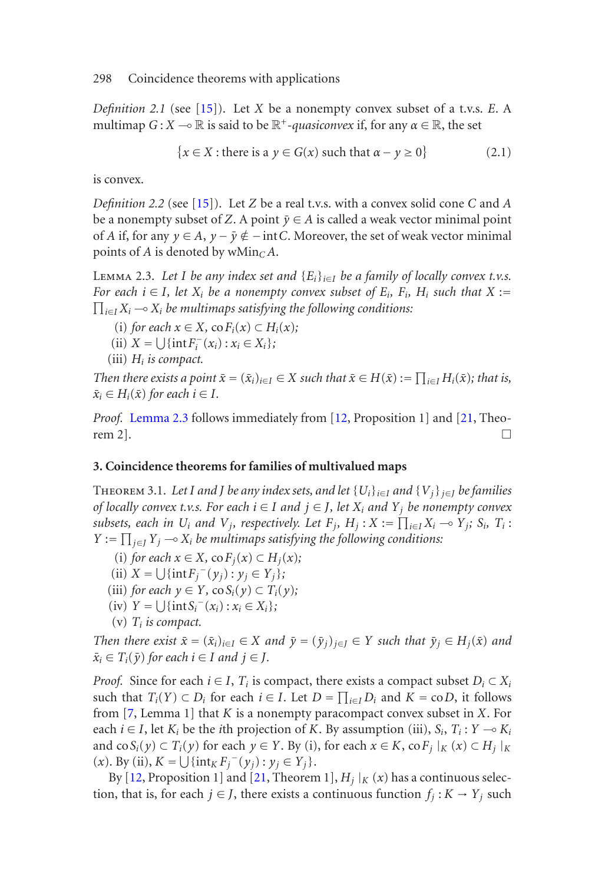<span id="page-3-0"></span>*Definition 2.1* (see [15]). Let *X* be a nonempty convex subset of a t.v.s. *E*. A multimap  $G: X \to \mathbb{R}$  is said to be  $\mathbb{R}^+$ -*quasiconvex* if, for any  $\alpha \in \mathbb{R}$ , the set

$$
\{x \in X : \text{there is a } y \in G(x) \text{ such that } \alpha - y \ge 0\}
$$
 (2.1)

is convex.

*Definition 2.2* (see [15]). Let *Z* be a real t.v.s. with a convex solid cone *C* and *A* be a nonempty subset of *Z*. A point  $\bar{y} \in A$  is called a weak vector minimal point of *A* if, for any *y* ∈ *A*, *y* − *y* ∉ − int *C*. Moreover, the set of weak vector minimal points of *A* is denoted by wMin  $\epsilon$  *A* points of *A* is denoted by  $wMin_C A$ .

LEMMA [2.3.](#page-3-0) Let *I* [be](#page-14-5) any index set and  ${E_i}_{i \in I}$  be a family of locally c[onve](#page-14-2)x t.v.s. *For each*  $i \in I$ *, let*  $X_i$  *be a nonempty convex subset of*  $E_i$ *,*  $F_i$ *,*  $H_i$  *such that*  $X :=$  $\prod_{i \in I} X_i$  →  $X_i$  *be multimaps satisfying the following conditions:* 

- (i) *for each*  $x \in X$ *,*  $\text{co } F_i(x) \subset H_i(x)$ *;*
- (ii)  $X = \bigcup \{ \text{int} F_i^-(x_i) : x_i \in X_i \}$ ;<br>(iii) *H*, *is compact*
- (iii) *Hi is compact.*

<span id="page-3-1"></span>*Then there exists a point*  $\bar{x} = (\bar{x}_i)_{i \in I} \in X$  *such that*  $\bar{x} \in H(\bar{x}) := \prod_{i \in I} H_i(\bar{x})$ *; that is,*  $\bar{x}_i \in H_i(\bar{x})$  for each  $i \in I$  $\bar{x}_i \in H_i(\bar{x})$  *for each*  $i \in I$ *.* 

*Proof.* Lemma 2.3 follows immediately from [12, Proposition 1] and [21, Theorem 2].

#### **3. Coincidence theorems for families of multivalued maps**

THEOREM 3.1. Let *I* and *J* be any index sets, and let  $\{U_i\}_{i \in I}$  and  $\{V_i\}_{i \in I}$  be families *of locally convex t.v.s. For each*  $i \in I$  *and*  $j \in J$ *, let*  $X_i$  *and*  $Y_j$  *be nonempty convex subsets, each in*  $U_i$  *and*  $V_j$ *, respectively. Let*  $F_j$ *,*  $H_j$  :  $X := \prod_{i \in I} X_i \multimap Y_j$ *;*  $S_i$ *,*  $T_i$  :  $Y \cdot \square \square \cup Y \cdot \square \cap Y$  *is a multimary satisfying the following conditions: Y* :=  $\prod_{j \in J} Y_j \rightarrow X_i$  *be multimaps satisfying the following conditions:* 

(i) *for each*  $x \in X$ *,*  $\text{co } F_i(x) \subset H_i(x)$ *;* (ii[\)](#page-13-4)  $X = \bigcup \{ \text{int} F_j^{-}(y_j) : y_j \in Y_j \}$ ;<br>(iii) for each  $y \in Y$ , co  $S_i(y) \subset T_i$ (iii) *for each*  $y \in Y$ *, co*  $S_i(y) \subset T_i(y)$ *;* (iv)  $Y = \bigcup \{ \text{int} S_i^-(x_i) : x_i \in X_i \};$ <br>(v)  $T_i$  is compact (v)  $T_i$  *is compact.* 

Then [ther](#page-14-5)e exist  $\bar{x} = (\bar{x}_i)_{i \in I} \in X$  $\bar{x} = (\bar{x}_i)_{i \in I} \in X$  $\bar{x} = (\bar{x}_i)_{i \in I} \in X$  and  $\bar{y} = (\bar{y}_i)_{i \in I} \in Y$  such that  $\bar{y}_i \in H_i(\bar{x})$  and  $\bar{x}_i \in T_i(\bar{y})$  *for each*  $i \in I$  *and*  $j \in J$ *.* 

*Proof.* Since for each  $i \in I$ ,  $T_i$  is compact, there exists a compact subset  $D_i \subset X_i$ such that  $T_i(Y) \subset D_i$  for each  $i \in I$ . Let  $D = \prod_{i \in I} D_i$  and  $K = \text{co } D$ , it follows from [7. I emma 1] that K is a nonempty paracompact convex subset in X. For from [7, Lemma 1] that *K* is a nonempty paracompact convex subset in *X*. For each  $i \in I$ , let  $K_i$  be the *i*th projection of *K*. By assumption (iii),  $S_i$ ,  $T_i : Y \to K_i$ and co $S_i(y) \subset T_i(y)$  for each  $y \in Y$ . By (i), for each  $x \in K$ , co $F_j |_K (x) \subset H_j |_K$  $(x)$ . By (ii),  $K = \bigcup \{ \text{int}_K F_j^{-}(y_j) : y_j \in Y_j \}.$ <br>By [12] Proposition 1] and [21] Theorem

By [12, Proposition 1] and [21, Theorem 1],  $H_i |_K(x)$  has a continuous selection, that is, for each *j* ∈ *J*, there exists a continuous function  $f_i$  :  $K \rightarrow Y_i$  such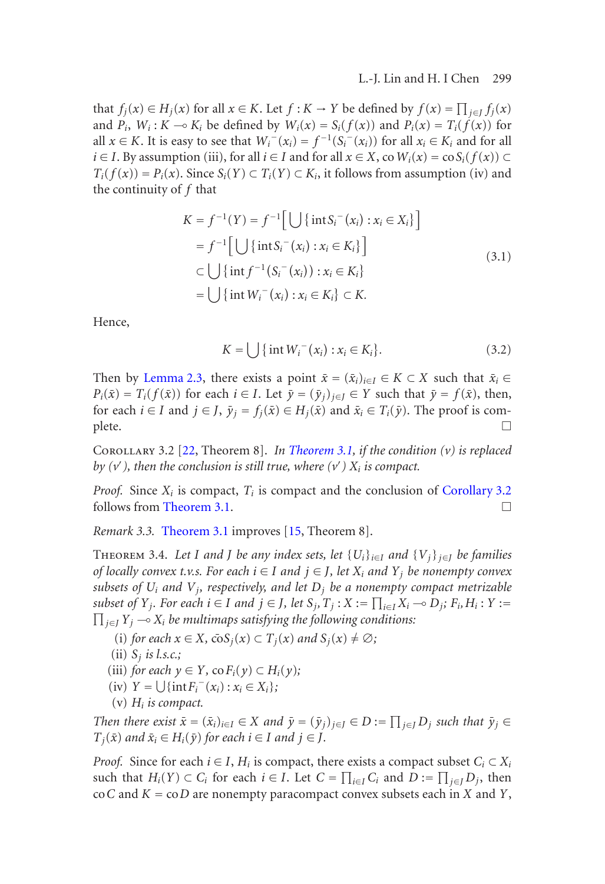that *f<sub>j</sub>*(*x*) ∈ *H<sub>j</sub>*(*x*) for all *x* ∈ *K*. Let *f* : *K* → *Y* be defined by *f*(*x*) =  $\prod_{j \in J} f_j(x)$ <br>and *P*. *W* ⋅ *K* → *K*, be defined by *W* (*x*) =  $S(f(x))$  and  $P(x) = T(f(x))$  for and  $P_i$ ,  $W_i$ :  $K \to K_i$  be defined by  $W_i(x) = S_i(f(x))$  and  $P_i(x) = T_i(f(x))$  for all *x* ∈ *K*. It is easy to see that  $W_i^-(x_i) = f^{-1}(S_i^-(x_i))$  for all  $x_i \in K_i$  and for all  $i \in I$  By assumption (iii) for all  $i \in I$  and for all  $x \in X$ , so  $W_i(x) = \infty S_i(f(x))$ *i* ∈ *I*. By assumption (iii), for all *i* ∈ *I* and for all  $x \in X$ , co  $W_i(x) = \cos S_i(f(x))$  ⊂ *T<sub>i</sub>*( $f(x)$ ) =  $P_i(x)$ . Since  $S_i(Y)$  ⊂  $T_i(Y)$  ⊂  $K_i$ , it follows from assumption (iv) and the continuity of *f* that

$$
K = f^{-1}(Y) = f^{-1} \Big[ \bigcup \{ \text{int } S_i^{-}(x_i) : x_i \in X_i \} \Big]
$$
  
=  $f^{-1} \Big[ \bigcup \{ \text{int } S_i^{-}(x_i) : x_i \in K_i \} \Big]$   
 $\subset \bigcup \{ \text{int } f^{-1}(S_i^{-}(x_i)) : x_i \in K_i \}$   
=  $\bigcup \{ \text{int } W_i^{-}(x_i) : x_i \in K_i \} \subset K.$  (3.1)

<span id="page-4-0"></span>Hence,

$$
K = \bigcup \{ \text{int } W_i^-(x_i) : x_i \in K_i \}. \tag{3.2}
$$

Then by Lemma 2.3, there exists a point  $\bar{x} = (\bar{x}_i)_{i \in I} \in K \subset X$  such that  $\bar{x}_i \in$  $P_i(\bar{x}) = T_i(f(\bar{x}))$  $P_i(\bar{x}) = T_i(f(\bar{x}))$  $P_i(\bar{x}) = T_i(f(\bar{x}))$  [for](#page-3-1) [each](#page-3-1)  $i \in I$ . Let  $\bar{y} = (\bar{y}_i)_{i \in I} \in Y$  such that  $\bar{y} = f(\bar{x})$ , then, for each *i* ∈ *I* and *j* ∈ *J*,  $\bar{y}_j = f_j(\bar{x}) \in H_j(\bar{x})$  and  $\bar{x}_i \in T_i(\bar{y})$ . The proof is complete. plete.  $\Box$ 

Corollary 3.2 [22, Theorem 8]. *In Theorem 3.1, if the condition (v) is replaced by (v ), then the conclusion is still true, where (v ) Xi is compact.*

*Proof.* Since  $X_i$  is compact,  $T_i$  is compact and the conclusion of Corollary 3.2 follows from Theorem 3.1. follows from Theorem 3.1.

*Remark 3.3.* Theorem 3.1 improves [15, Theorem 8].

THEOREM 3.4. Let *I* and *J* be any index sets, let  $\{U_i\}_{i \in I}$  and  $\{V_i\}_{i \in J}$  be families *of locally convex t.v.s. For each*  $i \in I$  *and*  $j \in J$ *, let*  $X_i$  *and*  $Y_j$  *be nonempty convex subsets of Ui and Vj, respectively, and let Dj be a nonempty compact metrizable subset of Y<sub>j</sub>*. *For each i* ∈ *I and j* ∈ *J*, *let S<sub>j</sub>*, *T<sub>j</sub>* : *X* :=  $\prod_{i \in I} X_i$  → *D<sub>j</sub>*; *F<sub>i</sub>*, *H<sub>i</sub>* : *Y* :=  $\prod_{i \in I} Y_i$  →  $X_i$  *be multimaps satisfying the following conditions:*  $\prod_{i \in I} Y_i$  →  $X_i$  *be multimaps satisfying the following conditions:* 

- (i) *for each*  $x \in X$ ,  $\bar{\cos}S_j(x) \subset T_j(x)$  *and*  $S_j(x) \neq \emptyset$ ;<br>
(ii)  $S_j$  *is l* s c;
- (ii) *Sj is l.s.c.;*
- (iii) *for each*  $y \in Y$ *,* co $F_i(y) \subset H_i(y)$ *;*
- (iv)  $Y = \bigcup \{ \text{int} F_i^-(x_i) : x_i \in X_i \};$ <br>(v) *H* is compact
- $(v)$   $H_i$  *is compact.*

*Then there exist*  $\bar{x} = (\bar{x}_i)_{i \in I} \in X$  *and*  $\bar{y} = (\bar{y}_j)_{j \in J} \in D := \prod_{j \in J} D_j$  *such that*  $\bar{y}_j \in T$ .  $(\bar{x})$  *and*  $\bar{x}_j \in H$ . ( $\bar{y}$ ) for each  $i \in I$  and  $i \in I$  $T_i(\bar{x})$  *and*  $\bar{x}_i \in H_i(\bar{y})$  *for each*  $i \in I$  *and*  $j \in J$ *.* 

*Proof.* Since for each  $i \in I$ ,  $H_i$  is compact, there exists a compact subset  $C_i \subset X_i$ such that  $H_i(Y) \subset C_i$  for each  $i \in I$ . Let  $C = \prod_{i \in I} C_i$  and  $D := \prod_{j \in J} D_j$ , then  $C_i C_i$  and  $K = c_i D$  are nonempty paracompact convex subsets each in  $X$  and  $Y$  $\cot C$  and  $K = \cot D$  are nonempty paracompact convex subsets each in *X* and *Y*,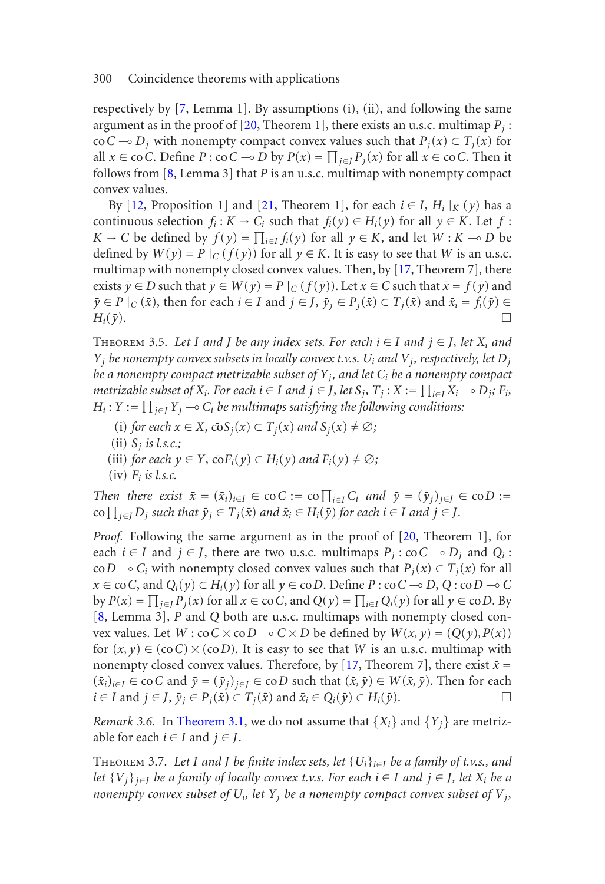respectively by [7, Lemma 1]. By assumptions (i), (ii), and following the same argument as in the proof of  $[20,$  Theorem 1], there exists [an u](#page-14-3).s.c. multimap  $P_i$ : co *C*  $\sim$  *D<sub>j</sub>* with nonempty compact convex values such that *P<sub>j</sub>*(*x*) ⊂ *T<sub>j</sub>*(*x*) for all *x* ∈ co*C*. Define *P* : co*C* → *D* by  $P(x) = \prod_{j \in J} P_j(x)$  for all *x* ∈ co*C*. Then it follows from [8, Lemma 3] that *P* is an u.s.c. multiman with nonemnty compact follows from [8, Lemma 3] that *P* is an u.s.c. multimap with nonempty compact convex values.

By [12, Proposition 1] and [21, Theorem 1], for each  $i \in I$ ,  $H_i |_K (y)$  has a continuous selection  $f_i: K \to C_i$  such that  $f_i(y) \in H_i(y)$  for all  $y \in K$ . Let  $f$ : *K* → *C* be defined by  $f(y) = \prod_{i \in I} f_i(y)$  for all  $y \in K$ , and let  $W : K \to D$  be defined by  $W(y) = P | g(f(y))$  for all  $y \in K$ . It is easy to see that  $W$  is an u.s.c. defined by  $W(y) = P \mid_C (f(y))$  for all  $y \in K$ . It is easy to see that *W* is an u.s.c. multimap with nonempty closed convex values. Then, by [17, Theorem 7], there exists *y* ∈ *D* such that  $\bar{y}$  ∈ *W*( $\bar{y}$ ) = *P* |*c* ( $f(\bar{y})$ ). Let  $\bar{x}$  ∈ *C* such that  $\bar{x} = f(\bar{y})$  and *y*∈ *P* |*c* ( $\bar{x}$ ), then for each  $i \in I$  and  $j \in J$ ,  $\bar{y}_j \in P_j(\bar{x}) \subset T_j(\bar{x})$  and  $\bar{x}_i = f_i(\bar{y}) \in H_i(\bar{y})$ . □  $H_i(\bar{y})$ .

THEOREM 3.5. Let *I* and *J* be any index sets. For each  $i \in I$  and  $j \in J$ , let  $X_i$  and *Y<sub>i</sub> be nonempty convex subsets in locally convex t.v.s.*  $U_i$  *and*  $V_i$ *, respectively, let*  $D_i$ *be a nonempty compact metrizable subset of Yj, and let Ci be a nonempty compact* metrizable subset of  $X_i$ . For each  $i \in I$  and  $j \in J$ , let  $S_j$ ,  $T_j : X := \prod_{i \in I} X_i \multimap D_j$  $T_j : X := \prod_{i \in I} X_i \multimap D_j$  $T_j : X := \prod_{i \in I} X_i \multimap D_j$ ;  $F_i$ ,<br> $H \cdot Y = \prod_{i \in I} X_i \multimap C_i$ , he multimates satisfying the following conditions: *H<sub>i</sub>*:  $Y := \prod_{j \in J} Y_j \to C_i$  *be multimaps satisfying the following conditions:* 

- (i) *for each*  $x \in X$ ,  $\bar{\cos} f(x) \subset T_j(x)$  *and*  $S_j(x) \neq \emptyset$ ;<br>(ii)  $S_j$  *is l* s c;
- (ii) *Sj is l.s.c.;*
- (iii) *for each*  $y \in Y$ *, co* $F_i(y) \subset H_i(y)$  and  $F_i(y) \neq \emptyset$ *;* (iv)  $F_i$  is l s c
- $(iv)$   $F_i$  *is l.s.c.*

*Then there exist*  $\bar{x} = (\bar{x}_i)_{i \in I} \in \text{co } C$  := co $\prod_{i \in I} C_i$  and  $\bar{y} = (\bar{y}_j)_{j \in J} \in \text{co } D$  := co $\prod_{i \in I} C_i$  and  $\bar{y} = (\bar{y}_j)_{j \in J} \in \text{co } D$  :=  $\text{co } \prod_{j \in J} D_j$  such that  $\bar{y}_j \in T_j(\bar{x})$  and  $\bar{x}_i \in H_i(\bar{y})$  for each  $i \in I$  and  $j \in J$ *.* 

<span id="page-5-0"></span>*Proof.* Following the same argument as in the [pr](#page-14-3)oof of [20, Theorem 1], for each *i* ∈ *I* and *j* ∈ *J*, there are two u.s.c. multimaps  $P_j$  : co  $C$  →  $D_j$  and  $Q_i$  : *coD* → *C<sub>i</sub>* with nonempty closed convex values such that  $P_j(x)$  ⊂  $T_j(x)$  for all *x* ∈ co*C*, and  $Q_i(y)$  ⊂ *H<sub>i</sub>*(*y*[\) f](#page-3-1)or all *y* ∈ co*D*. Define *P* : co*C*  $\rightarrow$  *D*, *Q* : co*D*  $\rightarrow$  *C*  $\mathbf{p}(x) = \prod_{j \in J} P_j(x)$  for all  $x \in \mathbf{co} C$ , and  $Q(y) = \prod_{i \in I} Q_i(y)$  for all  $y \in \mathbf{co} D$ . By [8, Lemma 3], *P* and *Q* both are u.s.c. multimaps with nonempty closed convex values. Let  $W: coC \times coD \rightarrow c \times D$  be defined by  $W(x, y) = (Q(y), P(x))$ for  $(x, y) \in (co C) \times (co D)$ . It is easy to see that *W* is an u.s.c. multimap with nonempty closed convex values. Therefore, by [17, Theorem 7], there exist  $\bar{x}$  =  $(\bar{x}_i)_{i \in I}$  ∈ co*C* and  $\bar{y} = (\bar{y}_j)_{j \in J}$  ∈ co*D* such that  $(\bar{x}, \bar{y})$  ∈ *W*( $\bar{x}, \bar{y}$ ). Then for each  $i \in I$  and  $i \in I$ ,  $\bar{v}_i \in P_i(\bar{x}) \subset T_i(\bar{x})$  and  $\bar{x}_i \in O_i(\bar{v}) \subset H_i(\bar{v})$ .  $i \in I$  and  $j \in J$ ,  $\bar{y}_j \in P_j(\bar{x}) \subset T_j(\bar{x})$  and  $\bar{x}_i \in Q_i(\bar{y}) \subset H_i(\bar{y})$ .

*Remark 3.6.* In Theorem 3.1, we do not assume that  $\{X_i\}$  and  $\{Y_i\}$  are metrizable for each  $i \in I$  and  $j \in J$ .

THEOREM 3.7. Let *I* and *J* be finite index sets, let  $\{U_i\}_{i\in I}$  be a family of t.v.s., and *let*  $\{V_i\}_{i \in I}$  *be a family of locally convex t.v.s. For each*  $i \in I$  *and*  $j \in J$ *, let*  $X_i$  *be a nonempty convex subset of*  $U_i$ , let  $Y_j$  be a nonempty compact convex subset of  $V_j$ ,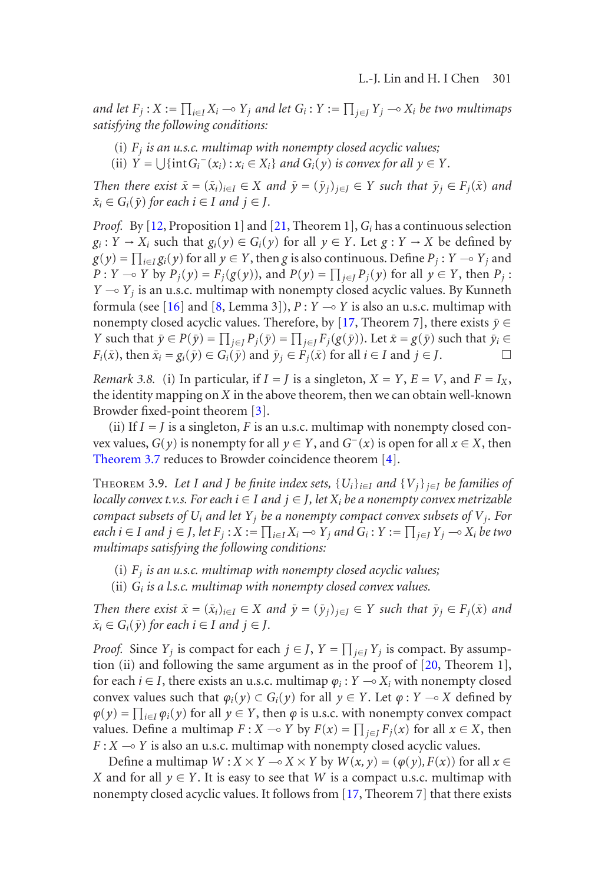*and let*  $F_j$  :  $X := \prod_{i \in I} X_i \to Y_j$  and let  $G_i$  :  $Y := \prod_{j \in J} Y_j \to X_i$  be two multimaps satisfying the following conditions: *satisfying the following conditions:*

- (i) *Fj is an u.s.c. multimap with nonempty closed acyclic values;*
- (ii)  $Y = \bigcup \{\inf G_i^-(x_i) : x_i \in X_i\}$  $Y = \bigcup \{\inf G_i^-(x_i) : x_i \in X_i\}$  $Y = \bigcup \{\inf G_i^-(x_i) : x_i \in X_i\}$  *and*  $G_i(y)$  *is convex for all*  $y \in Y$ *.*

*Then there exist*  $\bar{x} = (\bar{x}_i)_{i \in I} \in X$  *and*  $\bar{y} = (\bar{y}_i)_{i \in I} \in Y$  *such that*  $\bar{y}_i \in F_i(\bar{x})$  *and*  $\bar{x}_i \in G_i(\bar{y})$  *for each*  $i \in I$  *and*  $j \in J$ *.* 

*Proof.* By [12, Proposition 1] and [21, Theorem 1], *Gi* has a continuous selection  $g_i: Y \to X_i$  such that  $g_i(y) \in G_i(y)$  for all  $y \in Y$ . Let  $g: Y \to X$  be defined by *g*(*y*) <sup>=</sup> *i*∈*I gi*(*y*) for all *<sup>y</sup>* <sup>∈</sup> *<sup>Y</sup>*, then *<sup>g</sup>* is also continuous. Define *Pj* : *<sup>Y</sup> Yj* and *P* : *Y*  $\rightarrow$  *Y* by  $P_j(y) = F_j(g(y))$ , and  $P(y) = \prod_{j \in J} P_j(y)$  for all  $y \in Y$ , then  $P_j$  : *Y*  $\rightarrow$  *Y*, *is an u.s.c.* multiman with nonempty closed acyclic values. By Kunneth *Y*  $\rightarrow$  *Y<sub>j</sub>* is an u.s.c. multimap with nonempty closed acyclic values. By Kunneth formula (see [16] and [8, Lemma 3]),  $P: Y \rightarrow Y$  is also an u.s.c. multimap with [nonempty](#page-5-0) [clo](#page-5-0)sed acyclic values. Theref[ore](#page-13-1), by [17, Theorem 7], there exists  $\bar{y} \in$ *Y* such that  $\bar{y} \in P(\bar{y}) = \prod_{j \in J} P_j(\bar{y}) = \prod_{j \in J} F_j(g(\bar{y}))$ . Let  $\bar{x} = g(\bar{y})$  such that  $\bar{y}_i \in E(\bar{x})$  then  $\bar{x} = \sigma(\bar{y}) \in G(\bar{y})$  and  $\bar{y}_i \in E(\bar{x})$  for all  $i \in I$  and  $i \in I$  $F_i(\bar{x})$ , then  $\bar{x}_i = g_i(\bar{y}) \in G_i(\bar{y})$  and  $\bar{y}_j \in F_j(\bar{x})$  for all  $i \in I$  and  $j \in J$ .

*Remark 3.8.* (i) In particular, if  $I = J$  is a singleton,  $X = Y$ ,  $E = V$ , and  $F = I_X$ , the identity mapping on *X* in the above theorem, then we can obtain well-known Browder fixed-point theorem [3].

(ii) If  $I = J$  is a singleton, F is an u.s.c. multimap with nonempty closed convex values, *G*(*y*) is nonempty for all *y* ∈ *Y*, and *G*<sup>−</sup>(*x*) is open for all *x* ∈ *X*, then Theorem 3.7 reduces to Browder coincidence theorem [4].

THEOREM 3.9. Let *I* and *J* be finite index sets,  $\{U_i\}_{i \in I}$  and  $\{V_i\}_{i \in J}$  be families of *locally convex t.v.s. For each*  $i \in I$  *and*  $j \in J$ *, let*  $X_i$  *be a nonempty convex metrizable compact subsets of Ui and let Yj be a nonempty compact convex [sub](#page-14-7)sets of Vj. For* each  $i \in I$  and  $j \in J$ , let  $F_j : X := \prod_{i \in I} X_i \multimap Y_j$  and  $G_i : Y := \prod_{j \in J} Y_j \multimap X_i$  be two multimates satisfying the following conditions: *multimaps satisfying the following conditions:*

- (i) *Fj is an u.s.c. multimap with nonempty closed acyclic values;*
- (ii) *Gi is a l.s.c. multimap with nonempty closed convex values.*

*Then there exist*  $\bar{x} = (\bar{x}_i)_{i \in I} \in X$  *and*  $\bar{y} = (\bar{y}_i)_{i \in I} \in Y$  *such that*  $\bar{y}_i \in F_i(\bar{x})$  *and*  $\bar{x}_i \in G_i(\bar{y})$  *for each*  $i \in I$  *and*  $j \in J$ *.* 

*Proof.* Since *Y<sub>j</sub>* is compact for each  $j \in J$ ,  $Y = \prod_{j \in J} Y_j$  is compact. By assumption (ii) and following the same argument as in the proof of [20]. Theorem 11 tion (ii) and following the same argument as in the proof of [20, Theorem 1], for each *i*  $\in$  *I*, there exists an u.s.c. multimap  $\varphi_i$ : *Y*  $\sim$  *X<sub>i</sub>* with nonempty closed convex values such that  $\varphi_i(y) \subset G_i(y)$  for all  $y \in Y$ . Let  $\varphi: Y \to X$  defined by  $\varphi(y) = \prod_{i \in I} \varphi_i(y)$  for all  $y \in Y$ , then  $\varphi$  is u.s.c. with nonempty convex compact values. Define a multiman  $E: X \to Y$  by  $E(x) = \prod_{i \in I} E_i(x)$  for all  $x \in Y$ , then values. Define a multimap  $F : X \to Y$  by  $F(x) = \prod_{j \in J} F_j(x)$  for all  $x \in X$ , then  $F : X \to Y$  is also an u.s.c. multimap with popempty closed acyclic values  $F: X \rightarrow Y$  is also an u.s.c. multimap with nonempty closed acyclic values.

Define a multimap  $W : X \times Y \to X \times Y$  by  $W(x, y) = (\varphi(y), F(x))$  for all  $x \in Y$ *X* and for all  $y \in Y$ . It is easy to see that *W* is a compact u.s.c. multimap with nonempty closed acyclic values. It follows from [17, Theorem 7] that there exists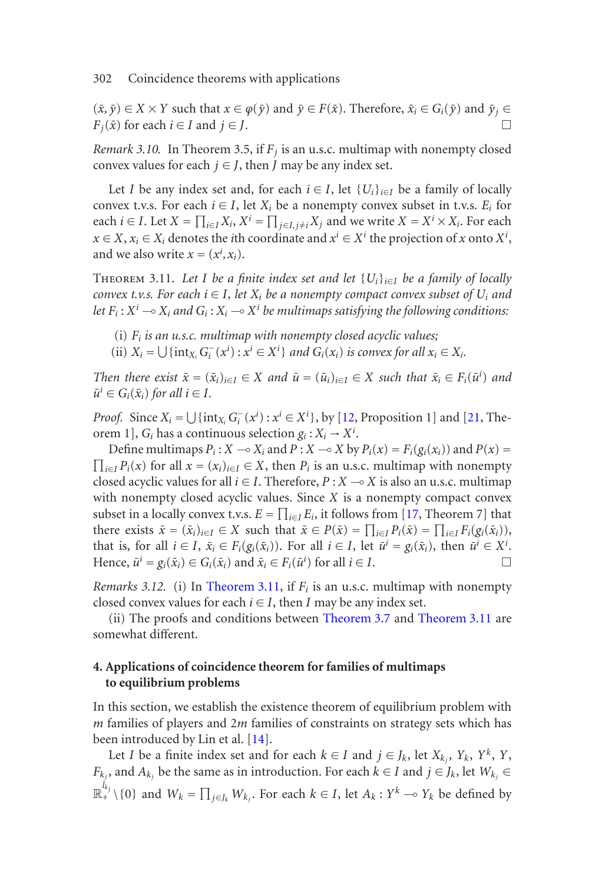<span id="page-7-0"></span> $(\bar{x}, \bar{y}) \in X \times Y$  such that  $x \in \varphi(\bar{y})$  and  $\bar{y} \in F(\bar{x})$ . Therefore,  $\bar{x}_i \in G_i(\bar{y})$  and  $\bar{y}_j \in F_i(\bar{x})$  for each  $i \in I$  and  $i \in I$  $F_i(\bar{x})$  for each  $i \in I$  and  $j \in J$ .

*Remark 3.10.* In Theorem 3.5, if  $F_i$  is an u.s.c. multimap with nonempty closed convex values for each  $j \in J$ , then *J* may be any index set.

Let *I* be any index set and, for each  $i \in I$ , let  $\{U_i\}_{i \in I}$  be a family of locally convex t.v.s. For each  $i \in I$ , let  $X_i$  be a nonempty convex subset in t.v.s.  $E_i$  for each  $i \in I$ . Let  $X = \prod_{i \in I} X_i$ ,  $X^i = \prod_{j \in I, j \neq i} X_j$  and we write  $X = X^i \times X_i$ . For each  $X^i \subset X$ ,  $X^i \subset Y$ , denotes the *i*th coordinate and  $x^i \subset X^i$  the projection of x onto  $X^i$ .  $x \in X$ ,  $x_i \in X_i$  denotes the *i*th coordinate and  $x^i \in X^i$  the projection of *x* onto  $X^i$ , and we also write  $x = (x^i, x_i)$ and we also write  $x = (x^i, x_i)$ .

THEOREM 3.11. Let *I* be a finite index set and [let](#page-14-5)  $\{U_i\}_{i\in I}$  be a family [of l](#page-14-2)ocally *convex t.v.s. For each*  $i \in I$ *, let*  $X_i$  *be a nonempty compact convex subset of*  $U_i$  *and let*  $F_i$ :  $X^i \rightarrow X_i$  and  $G_i$ :  $X_i \rightarrow X^i$  be multimaps satisfying the following conditions:

- (i) *Fi is an u.s.c. multimap with nonempty closed acyclic values;*
- (ii)  $X_i = \bigcup \{ \text{int}_{X_i} G_i^-(x^i) : x^i \in X^i \}$  *and*  $G_i(x_i)$  *is convex for all*  $x_i \in X_i$ *.*

Then there exist  $\bar{x} = (\bar{x}_i)_{i \in I} \in X$  and  $\bar{u} = (\bar{u}_i)_{i \in I} \in X$  such [tha](#page-14-3)t  $\bar{x}_i \in F_i(\bar{u}^i)$  and  $\bar{u}^i \in G_i(\bar{x}_i)$  for all  $i \in I$  $\bar{u}^i \in G_i(\bar{x}_i)$  *for all*  $i \in I$ *.* 

*Proof.* Since  $X_i = \bigcup \{\text{int}_{X_i} G_i^-(x^i) : x^i \in X^i\}$ , by [12, Proposition 1] and [21, Theorem 1]  $G_i$  has a continuous selection  $\pi : X \to X^i$ orem 1],  $G_i$  has a continuous selection  $g_i: X_i \to X^i$ .<br>Define multimans  $P_i: X \to X$  and  $P_i: X \to X$  by

Define multimaps  $P_i$ :  $X \to X_i$  [and](#page-7-0)  $P: X \to X$  by  $P_i(x) = F_i(g_i(x_i))$  and  $P(x) = \prod_{i \in I} P_i(x)$  for all  $x = (x_i)_{i \in I} \in X$ , then  $P_i$  is an u.s.c. multimap with nonempty *i*∈*I P<sub>i</sub>*(*x*) for all *x* = (*x<sub>i</sub>*)*i*∈*I* ∈ *X*, then *P<sub>i</sub>* is an u.s.c. multimap with nonempty closed acyclic values for all  $i \in I$ . Therefore,  $P: X \to X$  is also [an](#page-7-0) [u.s.c.](#page-7-0) [multim](#page-7-0)ap with nonempty closed acyclic values. Since *X* is a nonempty compact convex subset in a locally convex t.v.s.  $E = \prod_{i \in I} E_i$ , it follows from [17, Theorem 7] that there exists  $\bar{x} = (\bar{x}_i)_i, i \in X$  such that  $\bar{x} \in P(\bar{x}) = \prod_{i \in I} E_i(\bar{x}) = \prod_{i \in I} E_i(\bar{x}_i)$ there exists  $\bar{x} = (\bar{x}_i)_{i \in I} \in X$  such that  $\bar{x} \in P(\bar{x}) = \prod_{i \in I} P_i(\bar{x}) = \prod_{i \in I} F_i(g_i(\bar{x}_i)),$ <br>that is for all  $i \in I$ ,  $\bar{x} \in E_i(g_i(\bar{x}_i))$ . For all  $i \in I$ , let  $\bar{u}^i = g_i(\bar{x}_i)$ , then  $\bar{u}^i \in X^i$ that is, for all  $i \in I$ ,  $\bar{x}_i \in F_i(g_i(\bar{x}_i))$ . For all  $i \in I$ , let  $\bar{u}^i = g_i(\bar{x}_i)$ , then  $\bar{u}^i \in X^i$ .<br>Hence  $\bar{u}^i = \sigma(\bar{x}_i) \in G_i(\bar{x}_i)$  and  $\bar{x}_i \in E_i(\bar{u}^i)$  for all  $i \in I$ Hence,  $\bar{u}^i = g_i(\bar{x}_i) \in G_i(\bar{x}_i)$  and  $\bar{x}_i \in F_i(\bar{u}^i)$  for all  $i \in I$ .

*Remarks 3.12.* (i) In Theorem 3.11, if  $F_i$  is an u.s.c. multimap with nonempty closed convex values for each  $i \in I$ , then *I* may be any index set.

(ii) The proofs and conditions between Theorem 3.7 and Theorem 3.11 are somewhat different.

### **4. Applications of coincidence theorem for families of multimaps to equilibrium problems**

In this section, we establish the existence theorem of equilibrium problem with *m* families of players and 2*m* families of constraints on strategy sets which has been introduced by Lin et al. [14].

Let *I* be a finite index set and for each  $k \in I$  and  $j \in J_k$ , let  $X_{k_j}$ ,  $Y_k$ ,  $Y^k$ ,  $Y$ , *F<sub>k<sub>i</sub>*</sub>, and *A<sub>k<sub>i</sub>*</sub> be the same as in introduction. For each  $k \in I$  and  $j \in J_k$ , let  $W_{k_i} \in$  $\mathbb{R}^{u_{k_j}}$  \{0} and  $W_k = \prod_{j \in J_k} W_{k_j}$ . For each  $k \in I$ , let  $A_k$  :  $Y^k$  →  $Y_k$  be defined by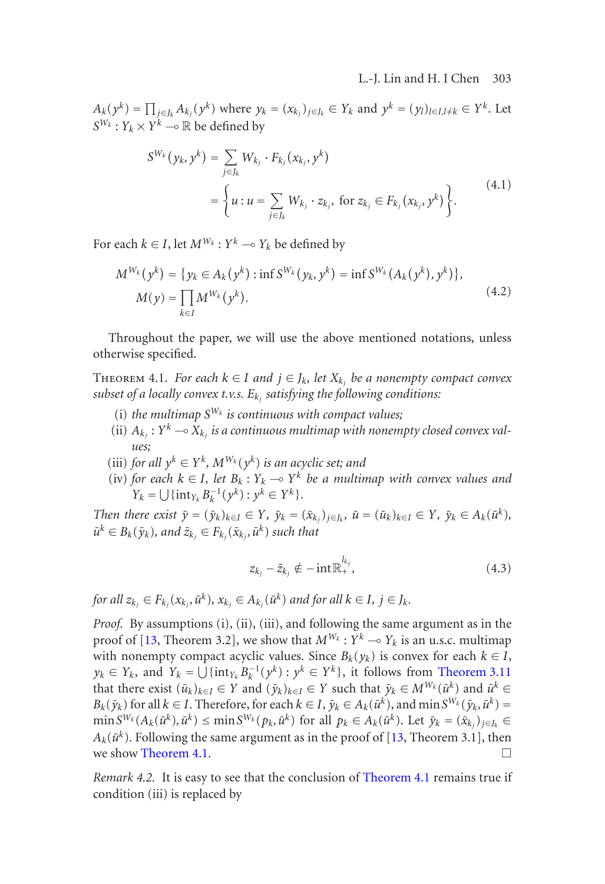$A_k(y^k) = \prod_{j \in J_k} A_{k_j}(y^k)$  where  $y_k = (x_{k_j})_{j \in J_k} \in Y_k$  and  $y^k = (y_l)_{l \in I, l \neq k} \in Y^k$ . Let  $S^{W_k}: Y_k \times Y^k \longrightarrow \mathbb{R}$  be defined by

$$
S^{W_k}(y_k, y^k) = \sum_{j \in J_k} W_{k_j} \cdot F_{k_j}(x_{k_j}, y^k)
$$
  
=  $\left\{ u : u = \sum_{j \in J_k} W_{k_j} \cdot z_{k_j}, \text{ for } z_{k_j} \in F_{k_j}(x_{k_j}, y^k) \right\}.$  (4.1)

<span id="page-8-0"></span>For each  $k \in I$ , let  $M^{W_k}$ :  $Y^k \sim Y_k$  be defined by

$$
M^{W_k}(y^k) = \{ y_k \in A_k(y^k) : \inf S^{W_k}(y_k, y^k) = \inf S^{W_k}(A_k(y^k), y^k) \},
$$
  

$$
M(y) = \prod_{k \in I} M^{W_k}(y^k).
$$
 (4.2)

Throughout the paper, we will use the above mentioned notations, unless otherwise specified.

THEOREM 4.1. *For each*  $k \in I$  *and*  $j \in J_k$ *, let*  $X_{k_i}$  *be a nonempty compact convex subset of a locally convex t.v.s. Ekj satisfying the following conditions:*

- (i) *the multimap*  $S^{W_k}$  *is continuous with compact values;*
- (ii)  $A_{k_j}: Y^k \longrightarrow X_{k_j}$  *is a continuous multimap with nonempty closed convex values;*
- (iii) *for all*  $y^k \in Y^k$ ,  $M^{W_k}(y^k)$  *is an acyclic set; and*

(iv) *for each*  $k \in I$ *, let*  $B_k : Y_k \to Y^k$  *be a multimap with convex values and*  $Y_k = \bigcup \{ \text{int}_{Y_k} B_k^{-1}(y^k) : y^k \in Y^k \}.$  $Y_k = \bigcup \{ \text{int}_{Y_k} B_k^{-1}(y^k) : y^k \in Y^k \}.$  $Y_k = \bigcup \{ \text{int}_{Y_k} B_k^{-1}(y^k) : y^k \in Y^k \}.$ 

Then there exist  $\bar{y} = (\bar{y}_k)_{k \in I} \in Y$ ,  $\bar{y}_k = (\bar{x}_{k_i})_{i \in I_k}$ ,  $\bar{u} = (\bar{u}_k)_{k \in I} \in Y$ ,  $\bar{y}_k \in A_k(\bar{u}^k)$ ,  $\bar{u}^k \in B_k(\bar{y}_k)$ *, and*  $\bar{z}_{k_i} \in F_{k_i}(\bar{x}_{k_i}, \bar{u}^k)$  *such that* 

$$
z_{k_j} - \bar{z}_{k_j} \notin -\mathrm{int} \mathbb{R}^{l_{k_j}}_{+},\tag{4.3}
$$

*for all*  $z_{k_j} \in F_{k_j}(x_{k_j}, \bar{u}^k)$ *,*  $x_{k_j} \in A_{k_j}(\bar{u}^k)$  and for all  $k \in I$ *,*  $j \in J_k$ *.* 

*Proof.* By assumptions (i), (ii), (iii), and following the same argument as in the proof of [13, Theorem 3.2], we show that  $M^{W_k}: Y^k \to Y_k$  [is an u](#page-8-0).s.c. multimap with nonempty compact acyclic values. Since  $B_k(y_k)$  is convex for each  $k \in I$ ,  $y_k \in Y_k$ , and  $Y_k = \bigcup \{\text{int}_{Y_k} B_k^{-1}(y^k) : y^k \in Y^k\}$ , it follows from Theorem 3.11<br>that there exist  $(\bar{y}_k)_{k \in X} \in Y$  and  $(\bar{y}_k)_{k \in X} \in Y$  such that  $\bar{y}_k \in M^{W_k}(\bar{y}^k)$  and  $\bar{y}^k \in Y$ that there exist  $(\bar{u}_k)_{k \in I} \in Y$  and  $(\bar{y}_k)_{k \in I} \in Y$  such that  $\bar{y}_k \in M^{W_k}(\bar{u}^k)$  and  $\bar{u}^k \in Y$  $B_k(\bar{y}_k)$  for all  $k \in I$ . Therefore, for each  $k \in I$ ,  $\bar{y}_k \in A_k(\bar{u}^k)$ , and min $S^{W_k}(\bar{y}_k, \bar{u}^k) =$  $\min S^{W_k}(A_k(\bar{u}^k), \bar{u}^k) \leq \min S^{W_k}(p_k, \bar{u}^k)$  for all  $p_k \in A_k(\bar{u}^k)$ . Let  $\bar{y}_k = (\bar{x}_{k_i})_{i \in I_k} \in$  $A_k(\bar{u}^k)$ . Following the same argument as in the proof of [13, Theorem 3.1], then we show Theorem 4.1 we show Theorem 4.1.

*Remark 4.2.* It is easy to see that the conclusion of Theorem 4.1 remains true if condition (iii) is replaced by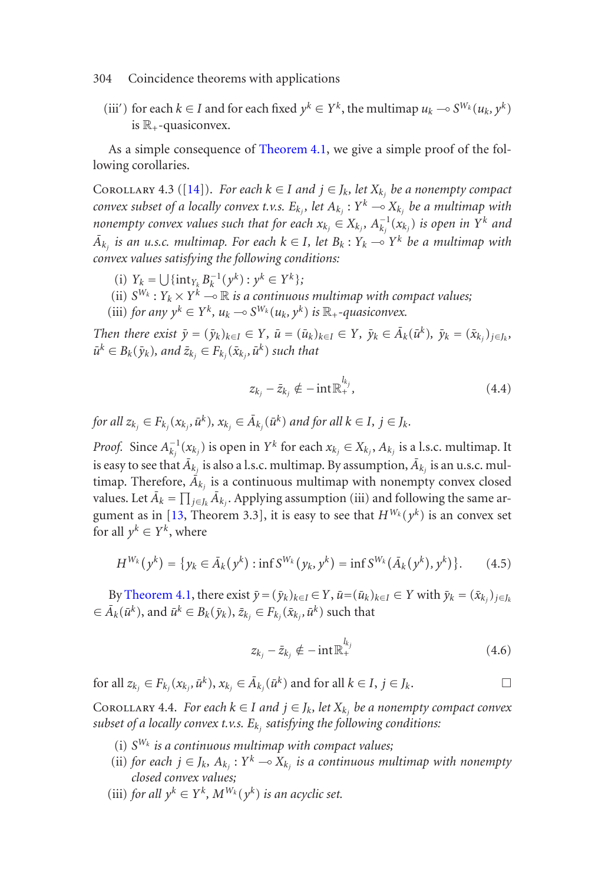<span id="page-9-0"></span>(iii') for each  $k \in I$  and for each fixed  $y^k \in Y^k$ , the multimap  $u_k \to S^{W_k}(u_k, y^k)$ <br>is  $\mathbb{R}$  -quasiconvex is  $\mathbb{R}_+$ -quasiconvex.

As a simple consequence of Theorem 4.1, we give a simple proof of the following corollaries.

COROLLARY 4.3 ([14]). *For each*  $k \in I$  *and*  $j \in J_k$ *, let*  $X_{k_i}$  *be a nonempty compact convex subset of a locally convex t.v.s.*  $E_{k_i}$ , let  $A_{k_i}: Y^k \to X_{k_i}$  be a multimap with *nonempty convex values such that for each*  $x_{k_j} \in X_{k_j}$ ,  $A_{k_j}^{-1}(x_{k_j})$  *is open in*  $Y^k$  *and*  $\overline{A}$  $\bar{A}_{k_j}$  *is an u.s.c. multimap. For each*  $k \in I$ *, let*  $B_k: Y_k \to Y^k$  *be a multimap with convex values satisfying the following conditions:*

- (i)  $Y_k = \bigcup \{ \text{int}_{Y_k} B_k^{-1}(y^k) : y^k \in Y^k \};$ <br>
(ii)  $S^{W_k} \cdot Y_i \times Y^k \longrightarrow \mathbb{R}$  is a continuour
- (ii)  $S^{W_k}: Y_k \times Y^k \to \mathbb{R}$  is a continuous multimap with compact values;<br>(iii) for any  $y^k \in Y^k$ ,  $y_k \to S^{W_k}(y_k, y^k)$  is  $\mathbb{R}$ , squasiconvex
- (iii) *for any*  $y^k \in Y^k$ *,*  $u_k \to S^{W_k}(u_k, y^k)$  *is*  $\mathbb{R}_+$ *-quasiconvex.*

Then there exist  $\bar{y} = (\bar{y}_k)_{k \in I} \in Y$ ,  $\bar{u} = (\bar{u}_k)_{k \in I} \in Y$ ,  $\bar{y}_k \in \bar{A}_k(\bar{u}^k)$ ,  $\bar{y}_k = (\bar{x}_k)_{k \in I_k}$ ,  $\bar{u}^k \in B_k(\bar{y}_k)$ *, and*  $\bar{z}_{k_i} \in F_{k_i}(\bar{x}_{k_i}, \bar{u}^k)$  *such that* 

$$
z_{k_j} - \bar{z}_{k_j} \notin -\mathrm{int} \mathbb{R}_+^{l_{k_j}},\tag{4.4}
$$

*for all*  $z_{k_j} \in F_{k_j}(x_{k_j}, \bar{u}^k)$ *,*  $x_{k_j} \in \bar{A}_{k_j}(\bar{u}^k)$  *and for all*  $k \in I$ *,*  $j \in J_k$ *.* 

*Proof.* [Since](#page-8-0)  $A_{k_j}^{-1}(x_{k_j})$  is open in  $Y^k$  for each  $x_{k_j} \in X_{k_j}$ ,  $A_{k_j}$  is a l.s.c. multimap. It is easy to see that  $\bar{A}_{k_i}$  is also a l.s.c. multimap. By assumption,  $\bar{A}_{k_i}$  is an u.s.c. multimap. Therefore,  $\bar{A}_{k_i}$  is a continuous multimap with nonempty convex closed values. Let  $\bar{A}_k = \prod_{j \in J_k} \bar{A}_{k_j}$ . Applying assumption (iii) and following the same ar-<br>*gument as* in [13] Theorem 3.31, it is easy to see that  $H^{W_k}(x^k)$  is an equivalent gument as in [13, Theorem 3.3], it is easy to see that  $H^{W_k}(\gamma^k)$  is an convex set for all  $y^k \in Y^k$ , where

$$
H^{W_k}(y^k) = \{ y_k \in \bar{A}_k(y^k) : \inf S^{W_k}(y_k, y^k) = \inf S^{W_k}(\bar{A}_k(y^k), y^k) \}. \tag{4.5}
$$

By Theorem 4.1, there exist  $\bar{y} = (\bar{y}_k)_{k \in I} \in Y$ ,  $\bar{u} = (\bar{u}_k)_{k \in I} \in Y$  with  $\bar{y}_k = (\bar{x}_{k_i})_{i \in J_k}$  $\in \bar{A}_k(\bar{u}^k)$ , and  $\bar{u}^k \in B_k(\bar{y}_k)$ ,  $\bar{z}_{k_i} \in F_{k_i}(\bar{x}_{k_i}, \bar{u}^k)$  such that

$$
z_{k_j} - \bar{z}_{k_j} \notin -\mathrm{int} \mathbb{R}_+^{k_j} \tag{4.6}
$$

for all  $z_{k_j}$  ∈  $F_{k_j}(x_{k_j}, \bar{u}^k)$ ,  $x_{k_j}$  ∈  $\bar{A}_{k_j}(\bar{u}^k)$  and for all  $k \in I$ ,  $j \in J_k$ .  $\Box$ 

COROLLARY 4.4. *For each*  $k \in I$  *and*  $j \in J_k$ *, let*  $X_{k_j}$  *be a nonempty compact convex subset of a locally convex t.v.s. Ekj satisfying the following conditions:*

- (i) *SWk is a continuous multimap with compact values;*
- (ii) *for each*  $j \in J_k$ ,  $A_{k_j}: Y^k \to X_{k_j}$  *is a continuous multimap with nonempty closed convex values;*
- (iii) *for all*  $y^k \in Y^k$ ,  $M^{W_k}(y^k)$  *is an acyclic set.*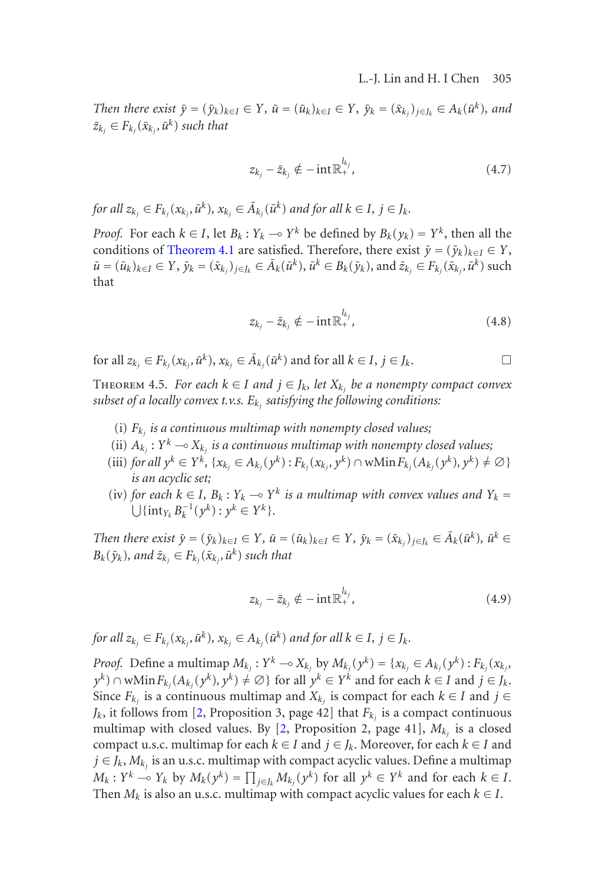Then there ex[ist](#page-8-0)  $\bar{y} = (\bar{y}_k)_{k \in I} \in Y$ ,  $\bar{u} = (\bar{u}_k)_{k \in I} \in Y$ ,  $\bar{y}_k = (\bar{x}_{k_i})_{i \in I_k} \in A_k(\bar{u}^k)$ , and  $\bar{z}_{k_j} \in F_{k_j}(\bar{x}_{k_j}, \bar{u}^k)$  *such that* 

$$
z_{k_j} - \bar{z}_{k_j} \notin -\mathrm{int} \mathbb{R}_+^{l_{k_j}},\tag{4.7}
$$

*for all*  $z_{k_i} \in F_{k_i}(x_k, \bar{u}^k)$ ,  $x_{k_i} \in \bar{A}_{k_i}(\bar{u}^k)$  *and for all*  $k \in I$ ,  $j \in J_k$ .

<span id="page-10-0"></span>*Proof.* For each  $k \in I$ , let  $B_k: Y_k \to Y^k$  be defined by  $B_k(y_k) = Y^k$ , then all the conditions of Theorem 4.1 are satisfied. Therefore, there exist  $\bar{y} = (\bar{y}_k)_{k \in I} \in Y$ ,  $\bar{u} = (\bar{u}_k)_{k \in I} \in Y$ ,  $\bar{y}_k = (\bar{x}_{k_i})_{i \in J_k} \in \bar{A}_k(\bar{u}^k)$ ,  $\bar{u}^k \in B_k(\bar{y}_k)$ , and  $\bar{z}_{k_i} \in F_{k_i}(\bar{x}_{k_i}, \bar{u}^k)$  such that

$$
z_{k_j} - \bar{z}_{k_j} \notin -\operatorname{int} \mathbb{R}_+^{k_j},\tag{4.8}
$$

for all  $z_{k_j}$  ∈  $F_{k_j}(x_{k_j}, \bar{u}^k)$ ,  $x_{k_j}$  ∈  $\bar{A}_{k_j}(\bar{u}^k)$  and for all  $k \in I$ ,  $j \in J_k$ .  $\Box$ 

THEOREM 4.5. *For each*  $k \in I$  *and*  $j \in J_k$ *, let*  $X_{k_i}$  *be a nonempty compact convex subset of a locally convex t.v.s.*  $E_k$  *satisfying the following conditions:* 

- (i)  $F_{k_i}$  *is a continuous multimap with nonempty closed values*;
- (ii)  $A_{k_i}: Y^k \longrightarrow X_{k_i}$  *is a continuous multimap with nonempty closed values*;
- (iii) *for all*  $y^k \in Y^k$ ,  $\{x_{k_j} \in A_{k_j}(y^k) : F_{k_j}(x_{k_j}, y^k) \cap \text{wMin}\,F_{k_j}(A_{k_j}(y^k), y^k) \neq \emptyset\}$ <br>is an acyclic set: *is an acyclic set;*
- (iv) for each  $k \in I$ ,  $B_k : Y_k \to Y^k$  is a multimap with convex values and  $Y_k = \bigcup \{\text{int}_{Y_k} B_k^{-1}(y^k) : y^k \in Y^k\}.$

Then there exist  $\bar{y} = (\bar{y}_k)_{k \in I} \in Y$ ,  $\bar{u} = (\bar{u}_k)_{k \in I} \in Y$ ,  $\bar{y}_k = (\bar{x}_{k_j})_{j \in J_k} \in \bar{A}_k(\bar{u}^k)$ ,  $\bar{u}^k \in$  $B_k(\bar{y}_k)$ *, and*  $\bar{z}_{k_i} \in F_{k_i}(\bar{x}_{k_i}, \bar{u}^k)$  *such that* 

$$
z_{k_j} - \bar{z}_{k_j} \notin -\mathrm{int} \mathbb{R}^{l_{k_j}}_{+},\tag{4.9}
$$

*for all*  $z_{k_j} \in F_{k_j}(x_{k_j}, \bar{u}^k)$ *,*  $x_{k_j} \in A_{k_j}(\bar{u}^k)$  *and for all*  $k \in I$ *,*  $j \in J_k$ *.* 

*Proof.* Define a multimap  $M_{k_j}: Y^k \to X_{k_j}$  by  $M_{k_j}(y^k) = \{x_{k_j} \in A_{k_j}(y^k): F_{k_j}(x_{k_j}, y_{k_j})\}$ *y*<sup>*k*</sup>) ∩ wMin $F_{k_j}(A_{k_j}(y^k), y^k) \neq \emptyset$ } for all *y*<sup>*k*</sup> ∈ *Y*<sup>*k*</sup> and for each *k* ∈ *I* and *j* ∈ *J*<sub>k</sub>. Since *F<sub>k</sub>* is a continuous multiman and *Y*<sub>*k*</sub> is commact for each *k* ∈ *I* and *j* ∈ Since  $F_{k_j}$  is a continuous multimap and  $X_{k_j}$  is compact for each  $k \in I$  and  $j \in I$  $J_k$ , it follows from [2, Proposition 3, page 42] that  $F_{k_j}$  is a compact continuous multimap with closed values. By  $[2,$  Proposition 2, page 41],  $M_{k_i}$  is a closed compact u.s.c. multimap for each  $k \in I$  and  $j \in J_k$ . Moreover, for each  $k \in I$  and  $j \in J_k$ ,  $M_{k_j}$  is an u.s.c. multimap with compact acyclic values. Define a multimap  $M_k: Y^k \to Y_k$  by  $M_k(y^k) = \prod_{j \in J_k} M_{k_j}(y^k)$  for all  $y^k \in Y^k$  and for each  $k \in I$ .<br>Then  $M_k$  is also an u.s.c. multiman with compact acyclic values for each  $k \in I$ . Then  $M_k$  is also an u.s.c. multimap with compact acyclic values for each  $k \in I$ .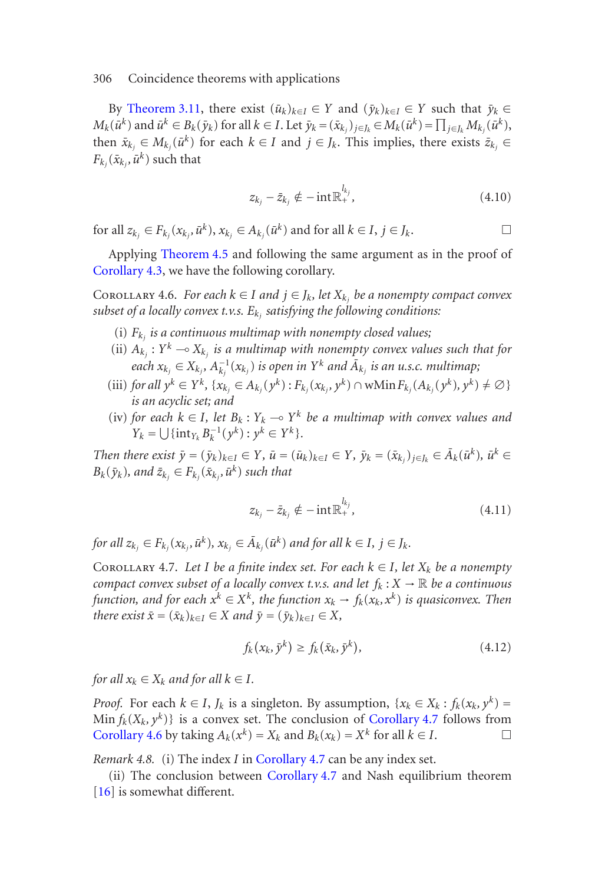<span id="page-11-2"></span>By Theor[em 3.11, ther](#page-10-0)e exist  $(\bar{u}_k)_{k \in I} \in Y$  and  $(\bar{y}_k)_{k \in I} \in Y$  such that  $\bar{y}_k \in Y$  $M_k(\bar{u}^k)$  and  $\bar{u}^k \in B_k(\bar{y}_k)$  for all  $k \in I$ . Let  $\bar{y}_k = (\bar{x}_{k_j})_{j \in J_k} \in M_k(\bar{u}^k) = \prod_{j \in J_k} M_{k_j}(\bar{u}^k)$ ,<br>then  $\bar{y}_k \in M_k(\bar{u}^k)$  for each  $k \in I$  and  $i \in I_k$ . This implies, there exists  $\bar{z}_k \in I_k$ then  $\bar{x}_{k_j} \in M_{k_j}(\bar{u}^k)$  for each  $k \in I$  and  $j \in J_k$ . This implies, there exists  $\bar{z}_{k_j} \in$  $F_{k_i}(\bar{x}_{k_i}, \bar{u}^k)$  such that

$$
z_{k_j} - \bar{z}_{k_j} \notin -\mathrm{int} \mathbb{R}^{l_{k_j}}_+, \tag{4.10}
$$

for all  $z_{k_i} \in F_{k_i}(x_k, \bar{u}^k), x_{k_i} \in A_{k_i}(\bar{u}^k)$  and for all  $k \in I, j \in J_k$ .  $\Box$ 

Applying Theorem 4.5 and following the same argument as in the proof of Corollary 4.3, we have the following corollary.

COROLLARY 4.6. *For each*  $k \in I$  *and*  $j \in J_k$ *, let*  $X_{k_j}$  *be a nonempty compact convex subset of a locally convex t.v.s.*  $E_k$  *satisfying the following conditions:* 

- (i)  $F_{k_i}$  *is a continuous multimap with nonempty closed values*;
- (ii)  $A_{k_i}: Y^k \longrightarrow X_{k_i}$  *is a multimap with nonempty convex values such that for each*  $x_{k_j} \in X_{k_j}$ ,  $A_{k_j}^{-1}(x_{k_j})$  *is open in*  $Y^k$  *and*  $\overline{A}_{k_j}$  *is an u.s.c. multimap*;
- (iii) *for all*  $y^k \in Y^k$ *,*  $\{x_{k_j} \in A_{k_j}(y^k) : F_{k_j}(x_{k_j}, y^k) \cap \text{wMin}\,F_{k_j}(A_{k_j}(y^k), y^k) \neq \emptyset\}$ <br>is an acyclic set; and *is an acyclic set; and*
- (iv) *for each*  $k \in I$ *, let*  $B_k : Y_k \to Y^k$  *be a multimap with convex values and*  $Y_k = \bigcup \{ \text{int}_{Y_k} B_k^{-1}(y^k) : y^k \in Y^k \}.$

<span id="page-11-1"></span>Then there exist  $\bar{y} = (\bar{y}_k)_{k \in I} \in Y$ ,  $\bar{u} = (\bar{u}_k)_{k \in I} \in Y$ ,  $\bar{y}_k = (\bar{x}_{k_i})_{j \in J_k} \in \bar{A}_k(\bar{u}^k)$ ,  $\bar{u}^k \in$  $B_k(\bar{y}_k)$ *, and*  $\bar{z}_{k_i} \in F_{k_i}(\bar{x}_{k_i}, \bar{u}^k)$  *such that* 

$$
z_{k_j} - \bar{z}_{k_j} \notin -\mathrm{int} \mathbb{R}_+^{l_{k_j}},\tag{4.11}
$$

*for all*  $z_{k_j} \in F_{k_j}(x_{k_j}, \bar{u}^k)$ *,*  $x_{k_j} \in \bar{A}_{k_j}(\bar{u}^k)$  *and for all*  $k \in I$ *,*  $j \in J_k$ *.* 

<span id="page-11-0"></span>COROLLARY 4.7. Let *I* be a finite index set. For each  $k \in I$ , let  $X_k$  be a nonempty *compact convex subset of a locally convex t.v.s. and let*  $f_k : X \to \mathbb{R}$  *be a continuous [function, and](#page-11-2) for each*  $x^k \in X^k$ *, the function*  $x_k \to f_k(x_k, x^k)$  *is quasiconvex. Then there exist*  $\bar{x} = (\bar{x}_k)_{k \in I} \in X$  $\bar{x} = (\bar{x}_k)_{k \in I} \in X$  $\bar{x} = (\bar{x}_k)_{k \in I} \in X$  *and*  $\bar{y} = (\bar{y}_k)_{k \in I} \in X$ *,* 

$$
f_k(x_k, \bar{y}^k) \ge f_k(\bar{x}_k, \bar{y}^k), \tag{4.12}
$$

*for all*  $x_k \in X_k$  *and for all*  $k \in I$ *.* 

*Proof.* For each  $k \in I$ ,  $J_k$  is a singleton. By assumption,  $\{x_k \in X_k : f_k(x_k, y^k) = I_k\}$ Min  $f_k(X_k, y^k)$ } is a convex set. The conclusion of Corollary 4.7 follows from Corollary 4.6 by taking  $A_k(x^k) = X_k$  and  $B_k(x_k) = X^k$  for all  $k \in I$ .  $\Box$ 

*Remark 4.8.* (i) The index *I* in Corollary 4.7 can be any index set.

(ii) The conclusion between Corollary 4.7 and Nash equilibrium theorem [16] is somewhat different.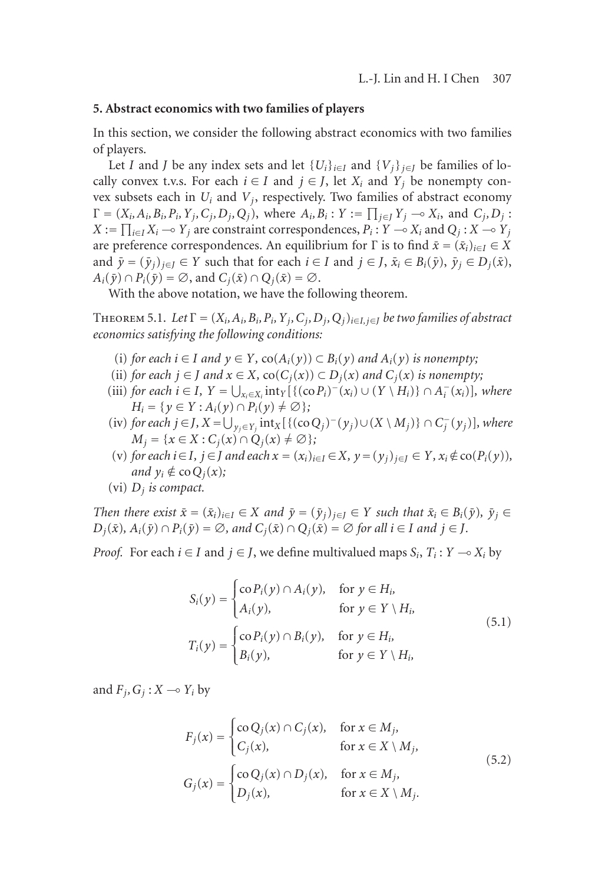### **5. Abstract economics with two families of players**

In this section, we consider the following abstract economics with two families of players.

Let *I* and *J* be any index sets and let  $\{U_i\}_{i \in I}$  and  $\{V_i\}_{i \in I}$  be families of locally convex t.v.s. For each *i* ∈ *I* and *j* ∈ *J*, let  $X_i$  and  $Y_j$  be nonempty convex subsets each in *Ui* and *Vj*, respectively. Two families of abstract economy  $\Gamma = (X_i, A_i, B_i, P_i, Y_j, C_j, D_j, Q_j)$ , where  $A_i, B_i : Y := \prod_{j \in J} Y_j \multimap X_i$ , and  $C_j, D_j : X \cdot \square Y \cdot \square Y$ , and  $Q \cdot Y \cdot \square Y$ .  $X := \prod_{i \in I} X_i \multimap Y_j$  are constraint correspondences,  $P_i : Y \multimap X_i$  and  $Q_j : X \multimap Y_j$ <br>are preference correspondences. An equilibrium for  $\Gamma$  is to find  $\bar{x} = (\bar{x}_j)$ ,  $j \in X$ are preference correspondences. An equilibrium for  $\Gamma$  is to find  $\bar{x} = (\bar{x}_i)_{i \in I} \in X$ and  $\bar{y} = (\bar{y}_i)_{i \in I} \in Y$  such that for each  $i \in I$  and  $j \in J$ ,  $\bar{x}_i \in B_i(\bar{y})$ ,  $\bar{y}_i \in D_i(\bar{x})$ ,  $A_i(\bar{y}) \cap P_i(\bar{y}) = \emptyset$ , and  $C_i(\bar{x}) \cap Q_i(\bar{x}) = \emptyset$ .

With the above notation, we have the following theorem.

THEOREM 5.1. *Let*  $\Gamma = (X_i, A_i, B_i, P_i, Y_j, C_j, D_j, Q_j)_{i \in I, j \in J}$  *be two families of abstract economics satisfying the following conditions:*

- (i) *for each i* ∈ *I and*  $y$  ∈ *Y*,  $co(A_i(y))$  ⊂  $B_i(y)$  *and*  $A_i(y)$  *is nonempty*;
- (ii) *for each j* ∈ *J and*  $x$  ∈ *X,* co( $C$ <sub>*i*</sub>(*x*)) ⊂ *D*<sub>*i*</sub>(*x*) *and*  $C$ <sup>*j*</sup>(*x*) *is nonempty*;
- (iii) *for each*  $i \in I$ *,*  $Y = \bigcup_{x_i \in X_i} \text{int}_Y \left[ \{ (\text{co } P_i)^{-}(x_i) \cup (Y \setminus H_i) \} \cap A_i^{-}(x_i) \right]$ *, where*  $H_i = \{ y \in Y : A_i(y) \cap B_i(y) \neq \emptyset \}$ .  $H_i = \{ y \in Y : A_i(y) \cap P_i(y) \neq \emptyset \};$ <br>for each  $i \in I$ ,  $X = \square$ , and  $\cup$   $\cup$  (co
- (iv) *for each j* ∈ *J*, *X* =  $\bigcup_{y_j \in Y_j}$  int $_X$ [{(co*Qj*)<sup>−</sup>(*yj*)∪(*X* \ *Mj*)} ∩ *C*<sup>−</sup><sub>*j*</sub> (*yj*)]*, where*<br>*M<sub>i</sub>* = { $x \in X$  : *C*<sub>i</sub>( $x$ ) ⊙ *Q*<sub>i</sub>( $x$ ) ≠ ⊘}.  $M_j = \{x \in X : C_j(x) \cap Q_j(x) \neq \emptyset\};\$ for each  $i \in I$ ,  $i \in I$  and each  $x = (x_i)$ .
- (v) for each  $i \in I$ ,  $j \in J$  and each  $x = (x_i)_{i \in I} \in X$ ,  $y = (y_j)_{j \in J} \in Y$ ,  $x_i \notin \text{co}(P_i(y))$ ,<br>and  $y_i \notin \text{co}(Q_i(y))$ . *and*  $y_i \notin \text{coQ}_j(x)$ ;<br>D<sub>:</sub> is compact
- (vi)  $D_j$  *is compact.*

Then there exist  $\bar{x} = (\bar{x}_i)_{i \in I} \in X$  and  $\bar{y} = (\bar{y}_i)_{i \in I} \in Y$  such that  $\bar{x}_i \in B_i(\bar{y})$ ,  $\bar{y}_i \in Y$  $D_j(\bar{x})$ *,*  $A_i(\bar{y}) \cap P_i(\bar{y}) = \emptyset$ *, and*  $C_j(\bar{x}) \cap Q_j(\bar{x}) = \emptyset$  *for all*  $i \in I$  *and*  $j \in J$ *.* 

*Proof.* For each  $i \in I$  and  $j \in J$ , we define multivalued maps  $S_i$ ,  $T_i : Y \to X_i$  by

$$
S_i(y) = \begin{cases} \text{co } P_i(y) \cap A_i(y), & \text{for } y \in H_i, \\ A_i(y), & \text{for } y \in Y \setminus H_i, \end{cases}
$$
  
\n
$$
T_i(y) = \begin{cases} \text{co } P_i(y) \cap B_i(y), & \text{for } y \in H_i, \\ B_i(y), & \text{for } y \in Y \setminus H_i, \end{cases}
$$
\n(5.1)

and  $F_i$ ,  $G_i$  :  $X \rightarrow Y_i$  by

$$
F_j(x) = \begin{cases} \n\text{co } Q_j(x) \cap C_j(x), & \text{for } x \in M_j, \\ \nC_j(x), & \text{for } x \in X \setminus M_j, \n\end{cases} \tag{5.2}
$$
\n
$$
G_j(x) = \begin{cases} \n\text{co } Q_j(x) \cap D_j(x), & \text{for } x \in M_j, \\ \nD_j(x), & \text{for } x \in X \setminus M_j. \n\end{cases} \tag{5.2}
$$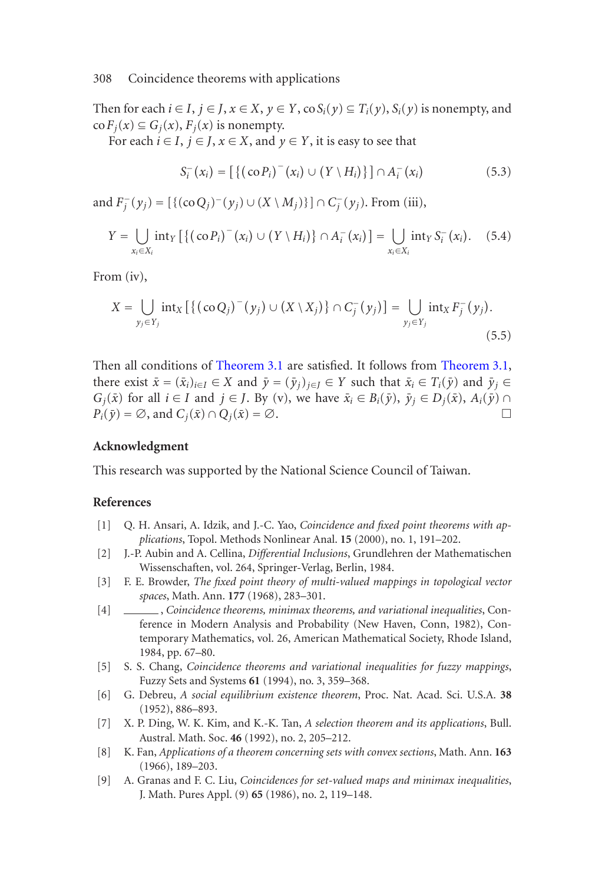Then for each  $i \in I$ ,  $j \in J$ ,  $x \in X$ ,  $y \in Y$ ,  $\cos(i(y) \subseteq T_i(y)$ ,  $S_i(y)$  is nonempty, and  $\operatorname{co} F_i(x) \subseteq G_i(x)$ ,  $F_i(x)$  is nonempty.

For each  $i \in I$ ,  $j \in J$ ,  $x \in X$ , and  $y \in Y$ , it is easy to see that

$$
S_i^-(x_i) = \left[ \{ (\text{co } P_i)^-(x_i) \cup (Y \setminus H_i) \} \right] \cap A_i^-(x_i)
$$
 (5.3)

and  $F_j^-(y_j) = [{(c_0 Q_j)^-(y_j) \cup (X \setminus M_j)}] ∩ C_j^-(y_j)$ . From (iii),

$$
Y = \bigcup_{x_i \in X_i} \operatorname{int}_Y \left[ \left\{ \left( \operatorname{co} P_i \right)^{-} (x_i) \cup \left( Y \setminus H_i \right) \right\} \cap A_i^{-} (x_i) \right] = \bigcup_{x_i \in X_i} \operatorname{int}_Y S_i^{-} (x_i). \tag{5.4}
$$

From (iv),

$$
X = \bigcup_{y_j \in Y_j} \text{int}_X \left[ \left\{ \left( \text{co} Q_j \right)^{-}(y_j) \cup \left( X \setminus X_j \right) \right\} \cap C_j^{-}(y_j) \right] = \bigcup_{y_j \in Y_j} \text{int}_X F_j^{-}(y_j).
$$
\n(5.5)

<span id="page-13-5"></span>Then all conditions of Theorem 3.1 are satisfied. It follows from Theorem 3.1, there exist  $\bar{x} = (\bar{x}_i)_{i \in I} \in X$  and  $\bar{y} = (\bar{y}_i)_{i \in I} \in Y$  such that  $\bar{x}_i \in T_i(\bar{y})$  and  $\bar{y}_i \in Y$ *G<sub>j</sub>*( $\bar{x}$ ) for all *i* ∈ *I* and *j* ∈ *J*. By (v), we have  $\bar{x}_i \in B_i(\bar{y})$ ,  $\bar{y}_j \in D_j(\bar{x})$ ,  $A_i(\bar{y}) \cap$ <br> $P_i(\bar{y}) = \emptyset$  and  $C_i(\bar{x}) \cap O_i(\bar{x}) = \emptyset$  $P_i(\bar{y}) = \emptyset$ , and  $C_i(\bar{x}) \cap Q_i(\bar{x}) = \emptyset$ .

### <span id="page-13-2"></span>**Acknowledgment**

<span id="page-13-1"></span>This research was supported by the National Science Council of Taiwan.

## **References**

- [1] Q. H. Ansari, A. Idzik, and J.-C. Yao, *Coincidence and fixed point theorems with applications*, Topol. Methods Nonlinear Anal. **15** (2000), no. 1, 191–202.
- <span id="page-13-3"></span>[2] J.-P. Aubin and A. Cellina, *Differential Inclusions*, Grundlehren der Mathematischen Wissenschaften, vol. 264, Springer-Verlag, Berlin, 1984.
- <span id="page-13-4"></span>[3] F. E. Browder, *The fixed point theory of multi-valued mappings in topological vector spaces*, Math. Ann. **177** (1968), 283–301.
- <span id="page-13-0"></span>[4] , *Coincidence theorems, minimax theorems, and variational inequalities*, Conference in Modern Analysis and Probability (New Haven, Conn, 1982), Contemporary Mathematics, vol. 26, American Mathematical Society, Rhode Island, 1984, pp. 67–80.
- [5] S. S. Chang, *Coincidence theorems and variational inequalities for fuzzy mappings*, Fuzzy Sets and Systems **61** (1994), no. 3, 359–368.
- [6] G. Debreu, *A social equilibrium existence theorem*, Proc. Nat. Acad. Sci. U.S.A. **38** (1952), 886–893.
- [7] X. P. Ding, W. K. Kim, and K.-K. Tan, *A selection theorem and its applications*, Bull. Austral. Math. Soc. **46** (1992), no. 2, 205–212.
- [8] K. Fan, *Applications of a theorem concerning sets with convex sections*, Math. Ann. **163** (1966), 189–203.
- [9] A. Granas and F. C. Liu, *Coincidences for set-valued maps and minimax inequalities*, J. Math. Pures Appl. (9) **65** (1986), no. 2, 119–148.